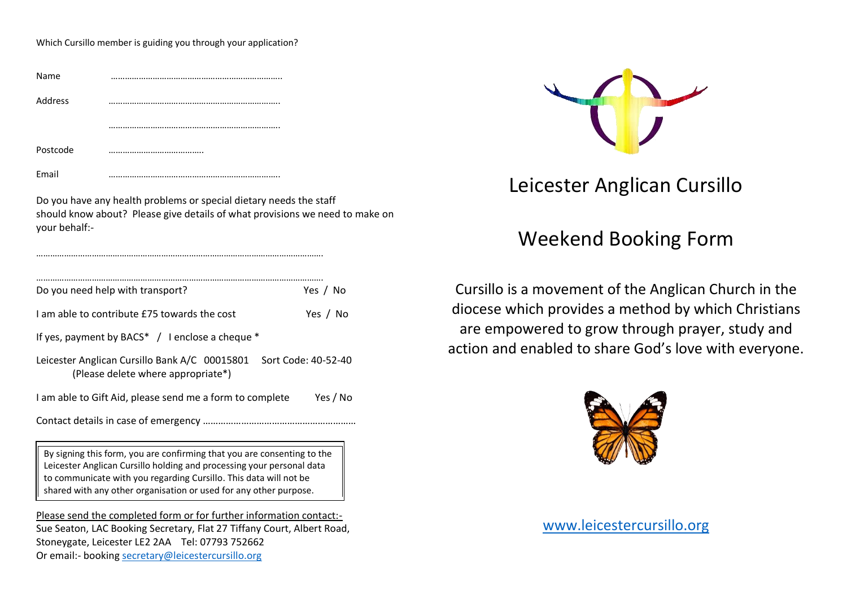Which Cursillo member is guiding you through your application?

| Name     | <br> |
|----------|------|
| Address  | <br> |
|          | <br> |
| Postcode | <br> |
| Email    |      |

…………………………………………………………………………………………………………….

Do you have any health problems or special dietary needs the staff should know about? Please give details of what provisions we need to make on your behalf:-

| Do you need help with transport?<br>Yes / No                                                               |  |  |  |
|------------------------------------------------------------------------------------------------------------|--|--|--|
| Lam able to contribute £75 towards the cost<br>Yes / No                                                    |  |  |  |
| If yes, payment by BACS* $\,$ / 1 enclose a cheque $*$                                                     |  |  |  |
| Sort Code: 40-52-40<br>Leicester Anglican Cursillo Bank A/C 00015801<br>(Please delete where appropriate*) |  |  |  |
| I am able to Gift Aid, please send me a form to complete<br>Yes / No                                       |  |  |  |
|                                                                                                            |  |  |  |
| By signing this form you are confirming that you are consenting to the                                     |  |  |  |

his form, you are confirming that you are consenting to the Leicester Anglican Cursillo holding and processing your personal data to communicate with you regarding Cursillo. This data will not be shared with any other organisation or used for any other purpose.

Please send the completed form or for further information contact:- Sue Seaton, LAC Booking Secretary, Flat 27 Tiffany Court, Albert Road, Stoneygate, Leicester LE2 2AA Tel: 07793 752662 Or email:- booking [secretary@leicestercursillo.org](mailto:secretary@leicestercursillo.org)



## Leicester Anglican Cursillo

## Weekend Booking Form

Cursillo is a movement of the Anglican Church in the diocese which provides a method by which Christians are empowered to grow through prayer, study and action and enabled to share God's love with everyone.



[www.leicestercursillo.org](http://www.leicestercursillo.org/)